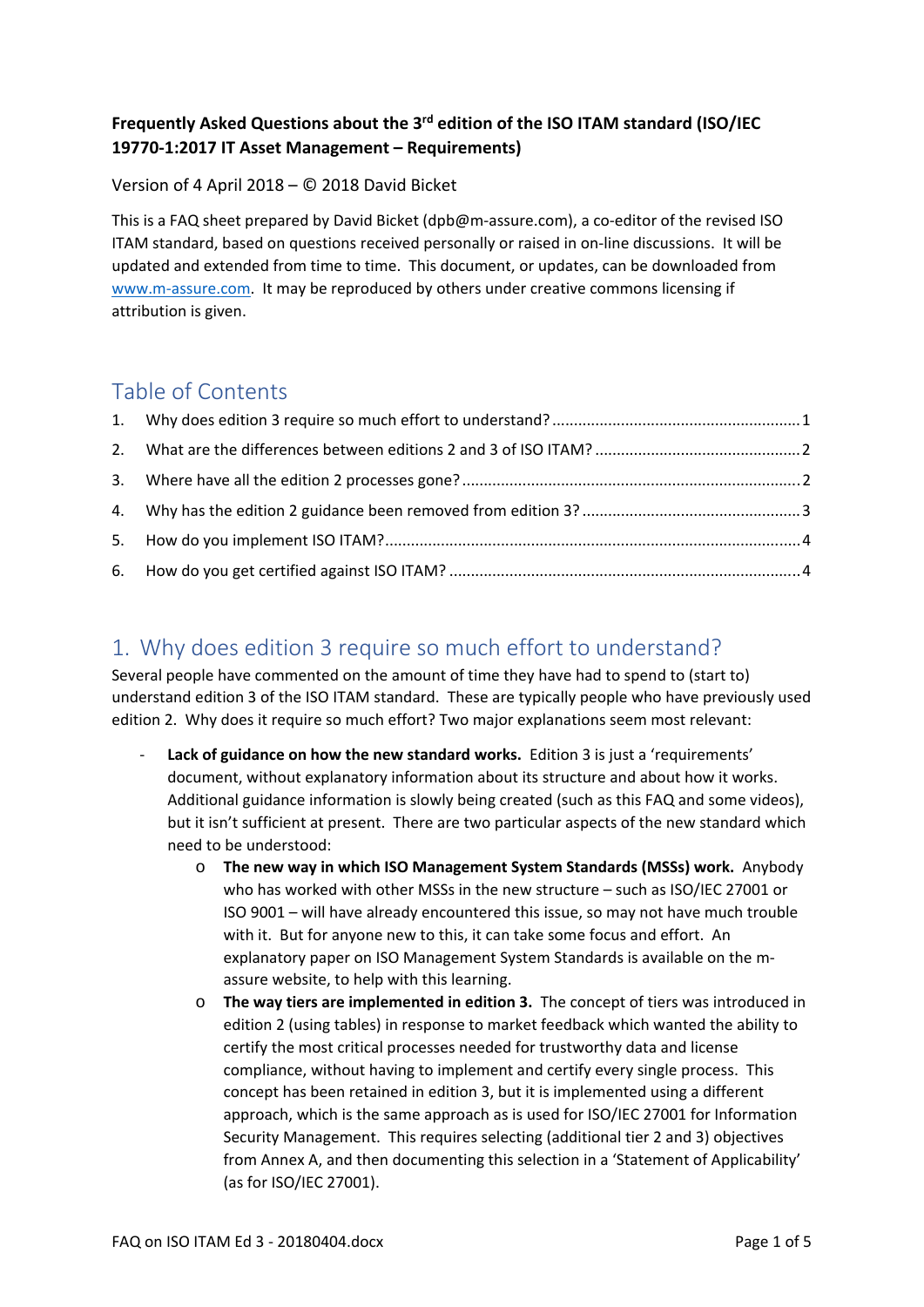#### **Frequently Asked Questions about the 3rd edition of the ISO ITAM standard (ISO/IEC 19770‐1:2017 IT Asset Management – Requirements)**

#### Version of 4 April 2018 – © 2018 David Bicket

This is a FAQ sheet prepared by David Bicket (dpb@m-assure.com), a co-editor of the revised ISO ITAM standard, based on questions received personally or raised in on‐line discussions. It will be updated and extended from time to time. This document, or updates, can be downloaded from www.m‐assure.com. It may be reproduced by others under creative commons licensing if attribution is given.

### Table of Contents

## 1. Why does edition 3 require so much effort to understand?

Several people have commented on the amount of time they have had to spend to (start to) understand edition 3 of the ISO ITAM standard. These are typically people who have previously used edition 2. Why does it require so much effort? Two major explanations seem most relevant:

- ‐ **Lack of guidance on how the new standard works.** Edition 3 is just a 'requirements' document, without explanatory information about its structure and about how it works. Additional guidance information is slowly being created (such as this FAQ and some videos), but it isn't sufficient at present. There are two particular aspects of the new standard which need to be understood:
	- o **The new way in which ISO Management System Standards (MSSs) work.** Anybody who has worked with other MSSs in the new structure – such as ISO/IEC 27001 or ISO 9001 – will have already encountered this issue, so may not have much trouble with it. But for anyone new to this, it can take some focus and effort. An explanatory paper on ISO Management System Standards is available on the massure website, to help with this learning.
	- o **The way tiers are implemented in edition 3.**  The concept of tiers was introduced in edition 2 (using tables) in response to market feedback which wanted the ability to certify the most critical processes needed for trustworthy data and license compliance, without having to implement and certify every single process. This concept has been retained in edition 3, but it is implemented using a different approach, which is the same approach as is used for ISO/IEC 27001 for Information Security Management. This requires selecting (additional tier 2 and 3) objectives from Annex A, and then documenting this selection in a 'Statement of Applicability' (as for ISO/IEC 27001).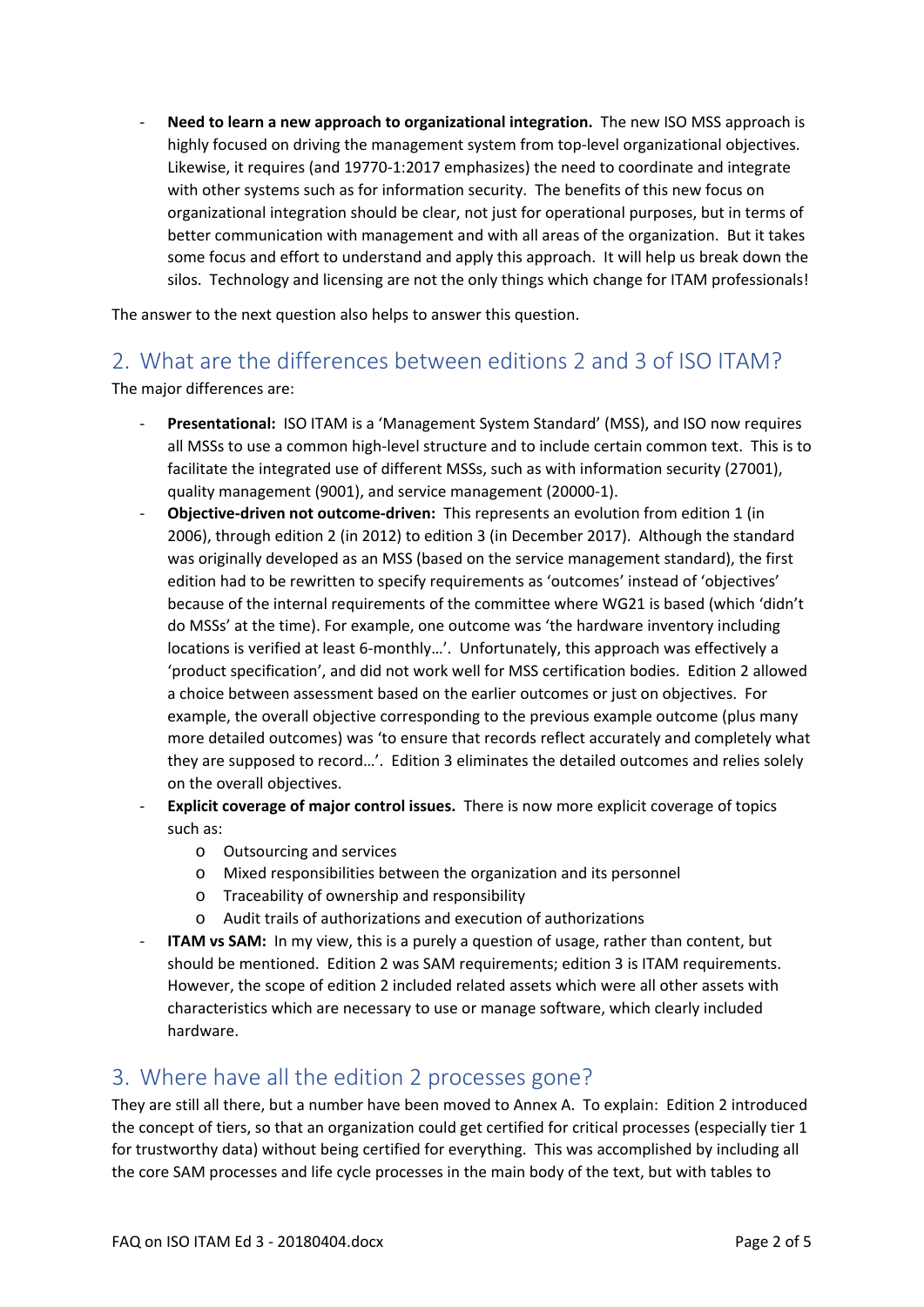‐ **Need to learn a new approach to organizational integration.** The new ISO MSS approach is highly focused on driving the management system from top-level organizational objectives. Likewise, it requires (and 19770‐1:2017 emphasizes) the need to coordinate and integrate with other systems such as for information security. The benefits of this new focus on organizational integration should be clear, not just for operational purposes, but in terms of better communication with management and with all areas of the organization. But it takes some focus and effort to understand and apply this approach. It will help us break down the silos. Technology and licensing are not the only things which change for ITAM professionals!

The answer to the next question also helps to answer this question.

## 2. What are the differences between editions 2 and 3 of ISO ITAM?

The major differences are:

- ‐ **Presentational:** ISO ITAM is a 'Management System Standard' (MSS), and ISO now requires all MSSs to use a common high-level structure and to include certain common text. This is to facilitate the integrated use of different MSSs, such as with information security (27001), quality management (9001), and service management (20000‐1).
- ‐ **Objective‐driven not outcome‐driven:** This represents an evolution from edition 1 (in 2006), through edition 2 (in 2012) to edition 3 (in December 2017). Although the standard was originally developed as an MSS (based on the service management standard), the first edition had to be rewritten to specify requirements as 'outcomes' instead of 'objectives' because of the internal requirements of the committee where WG21 is based (which 'didn't do MSSs' at the time). For example, one outcome was 'the hardware inventory including locations is verified at least 6‐monthly…'. Unfortunately, this approach was effectively a 'product specification', and did not work well for MSS certification bodies. Edition 2 allowed a choice between assessment based on the earlier outcomes or just on objectives. For example, the overall objective corresponding to the previous example outcome (plus many more detailed outcomes) was 'to ensure that records reflect accurately and completely what they are supposed to record…'. Edition 3 eliminates the detailed outcomes and relies solely on the overall objectives.
- ‐ **Explicit coverage of major control issues.** There is now more explicit coverage of topics such as:
	- o Outsourcing and services
	- o Mixed responsibilities between the organization and its personnel
	- o Traceability of ownership and responsibility
	- o Audit trails of authorizations and execution of authorizations
- **ITAM vs SAM:** In my view, this is a purely a question of usage, rather than content, but should be mentioned. Edition 2 was SAM requirements; edition 3 is ITAM requirements. However, the scope of edition 2 included related assets which were all other assets with characteristics which are necessary to use or manage software, which clearly included hardware.

#### 3. Where have all the edition 2 processes gone?

They are still all there, but a number have been moved to Annex A. To explain: Edition 2 introduced the concept of tiers, so that an organization could get certified for critical processes (especially tier 1 for trustworthy data) without being certified for everything. This was accomplished by including all the core SAM processes and life cycle processes in the main body of the text, but with tables to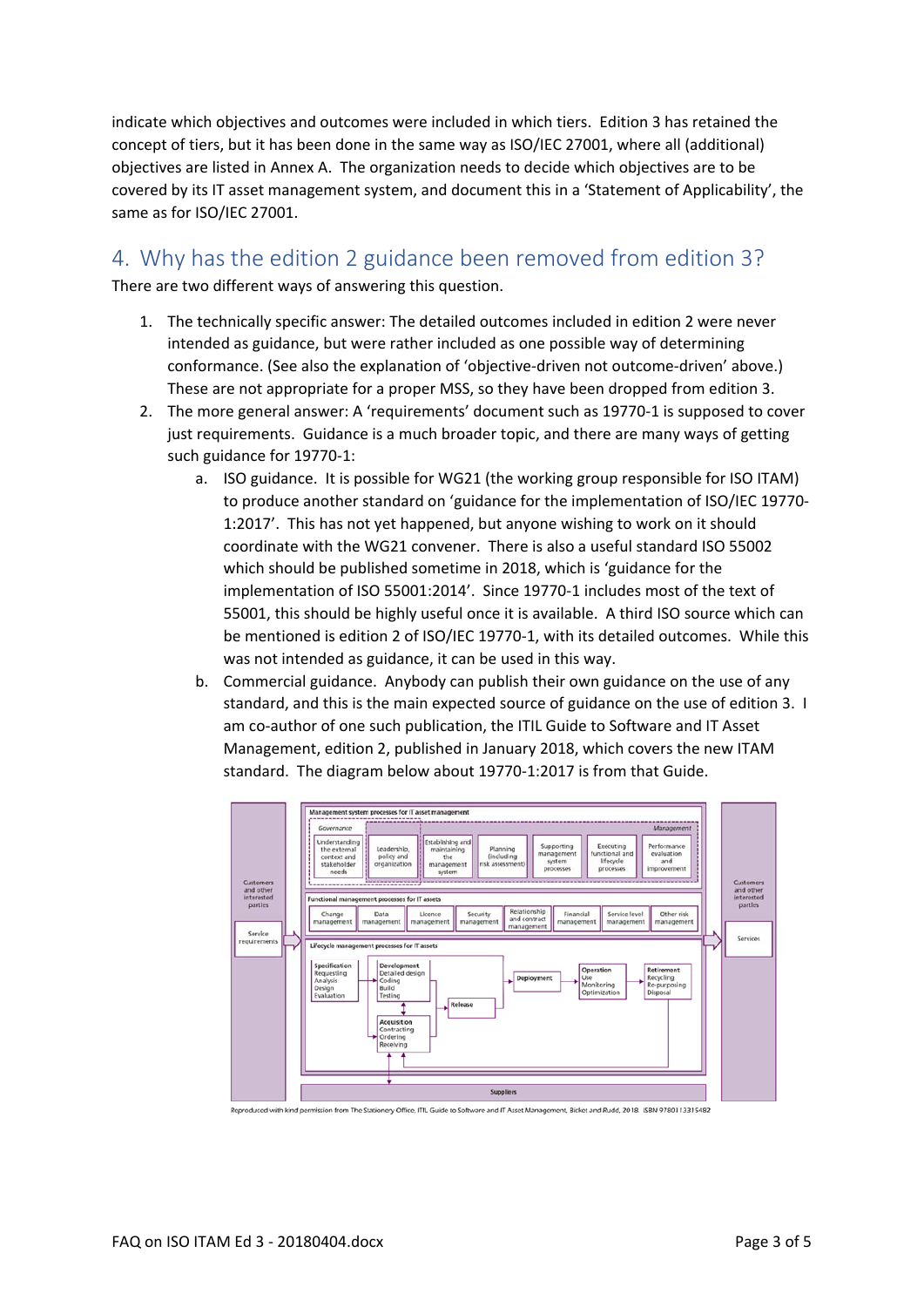indicate which objectives and outcomes were included in which tiers. Edition 3 has retained the concept of tiers, but it has been done in the same way as ISO/IEC 27001, where all (additional) objectives are listed in Annex A. The organization needs to decide which objectives are to be covered by its IT asset management system, and document this in a 'Statement of Applicability', the same as for ISO/IEC 27001.

### 4. Why has the edition 2 guidance been removed from edition 3?

There are two different ways of answering this question.

- 1. The technically specific answer: The detailed outcomes included in edition 2 were never intended as guidance, but were rather included as one possible way of determining conformance. (See also the explanation of 'objective‐driven not outcome‐driven' above.) These are not appropriate for a proper MSS, so they have been dropped from edition 3.
- 2. The more general answer: A 'requirements' document such as 19770-1 is supposed to cover just requirements. Guidance is a much broader topic, and there are many ways of getting such guidance for 19770‐1:
	- a. ISO guidance. It is possible for WG21 (the working group responsible for ISO ITAM) to produce another standard on 'guidance for the implementation of ISO/IEC 19770‐ 1:2017'. This has not yet happened, but anyone wishing to work on it should coordinate with the WG21 convener. There is also a useful standard ISO 55002 which should be published sometime in 2018, which is 'guidance for the implementation of ISO 55001:2014'. Since 19770‐1 includes most of the text of 55001, this should be highly useful once it is available. A third ISO source which can be mentioned is edition 2 of ISO/IEC 19770‐1, with its detailed outcomes. While this was not intended as guidance, it can be used in this way.
	- b. Commercial guidance. Anybody can publish their own guidance on the use of any standard, and this is the main expected source of guidance on the use of edition 3. I am co-author of one such publication, the ITIL Guide to Software and IT Asset Management, edition 2, published in January 2018, which covers the new ITAM standard. The diagram below about 19770‐1:2017 is from that Guide.



Reproduced with kind permission from The Stationery Office, ITIL Guide to Software and IT Asset Management, Bicket and Rudd, 2018. ISBN 9780113315482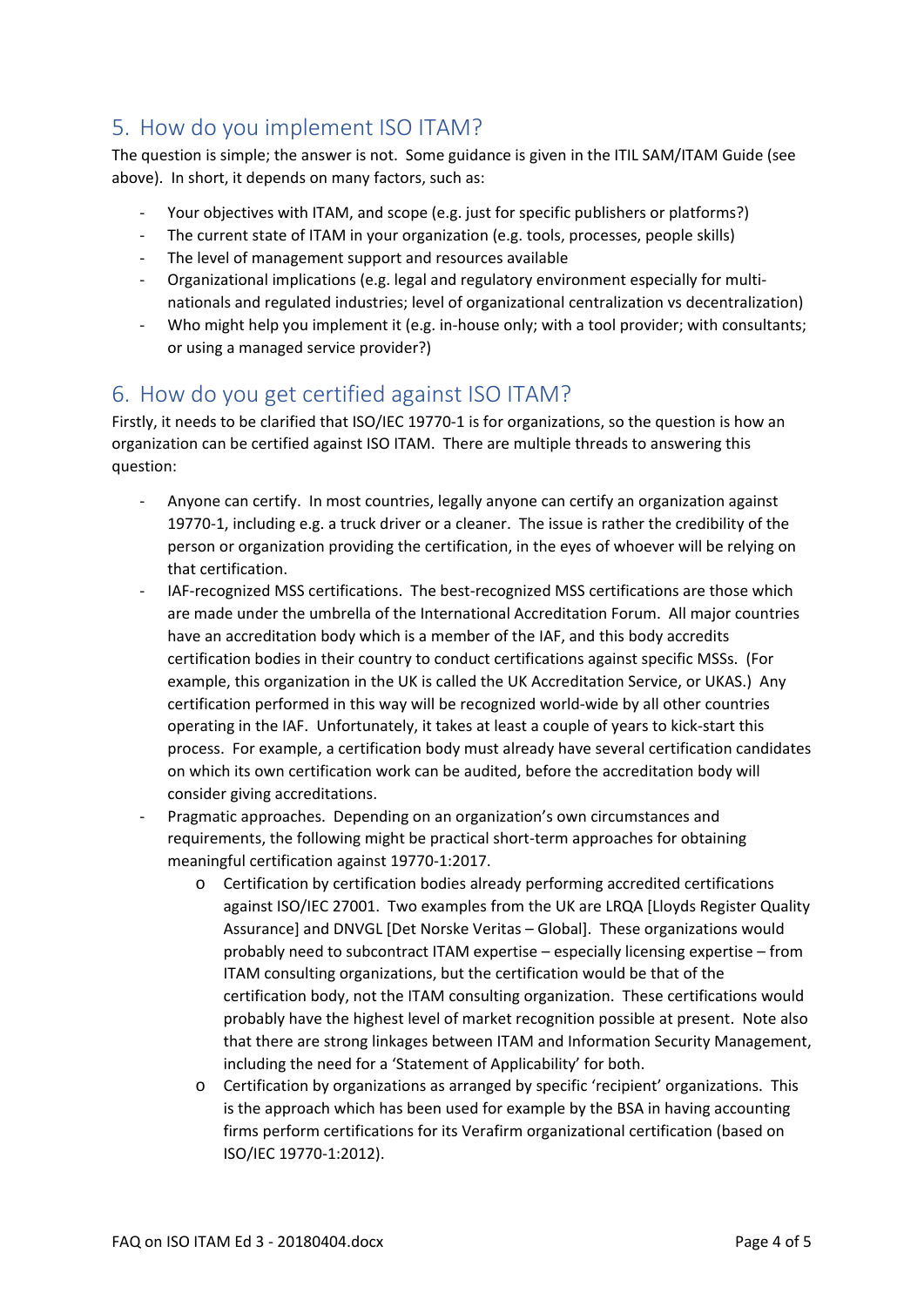# 5. How do you implement ISO ITAM?

The question is simple; the answer is not. Some guidance is given in the ITIL SAM/ITAM Guide (see above). In short, it depends on many factors, such as:

- Your objectives with ITAM, and scope (e.g. just for specific publishers or platforms?)
- The current state of ITAM in your organization (e.g. tools, processes, people skills)
- ‐ The level of management support and resources available
- ‐ Organizational implications (e.g. legal and regulatory environment especially for multi‐ nationals and regulated industries; level of organizational centralization vs decentralization)
- ‐ Who might help you implement it (e.g. in‐house only; with a tool provider; with consultants; or using a managed service provider?)

# 6. How do you get certified against ISO ITAM?

Firstly, it needs to be clarified that ISO/IEC 19770‐1 is for organizations, so the question is how an organization can be certified against ISO ITAM. There are multiple threads to answering this question:

- ‐ Anyone can certify. In most countries, legally anyone can certify an organization against 19770-1, including e.g. a truck driver or a cleaner. The issue is rather the credibility of the person or organization providing the certification, in the eyes of whoever will be relying on that certification.
- ‐ IAF‐recognized MSS certifications. The best‐recognized MSS certifications are those which are made under the umbrella of the International Accreditation Forum. All major countries have an accreditation body which is a member of the IAF, and this body accredits certification bodies in their country to conduct certifications against specific MSSs. (For example, this organization in the UK is called the UK Accreditation Service, or UKAS.) Any certification performed in this way will be recognized world-wide by all other countries operating in the IAF. Unfortunately, it takes at least a couple of years to kick‐start this process. For example, a certification body must already have several certification candidates on which its own certification work can be audited, before the accreditation body will consider giving accreditations.
- ‐ Pragmatic approaches. Depending on an organization's own circumstances and requirements, the following might be practical short-term approaches for obtaining meaningful certification against 19770‐1:2017.
	- o Certification by certification bodies already performing accredited certifications against ISO/IEC 27001. Two examples from the UK are LRQA [Lloyds Register Quality Assurance] and DNVGL [Det Norske Veritas – Global]. These organizations would probably need to subcontract ITAM expertise – especially licensing expertise – from ITAM consulting organizations, but the certification would be that of the certification body, not the ITAM consulting organization. These certifications would probably have the highest level of market recognition possible at present. Note also that there are strong linkages between ITAM and Information Security Management, including the need for a 'Statement of Applicability' for both.
	- o Certification by organizations as arranged by specific 'recipient' organizations. This is the approach which has been used for example by the BSA in having accounting firms perform certifications for its Verafirm organizational certification (based on ISO/IEC 19770‐1:2012).